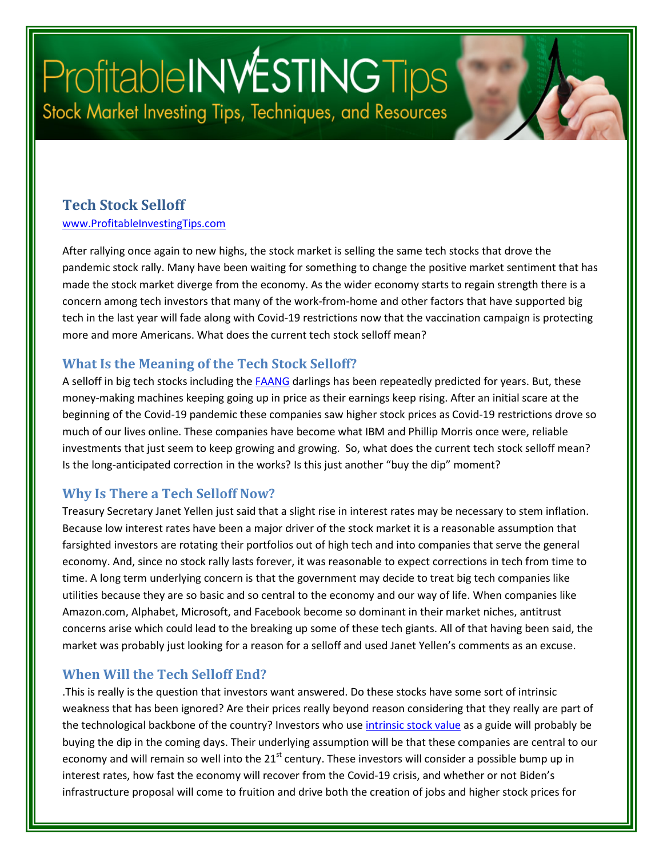# ProfitableINWESTINGTips Stock Market Investing Tips, Techniques, and Resources

#### **Tech Stock Selloff**

[www.ProfitableInvestingTips.com](http://www.profitableinvestingtips.com/)

After rallying once again to new highs, the stock market is selling the same tech stocks that drove the pandemic stock rally. Many have been waiting for something to change the positive market sentiment that has made the stock market diverge from the economy. As the wider economy starts to regain strength there is a concern among tech investors that many of the work-from-home and other factors that have supported big tech in the last year will fade along with Covid-19 restrictions now that the vaccination campaign is protecting more and more Americans. What does the current tech stock selloff mean?

#### **What Is the Meaning of the Tech Stock Selloff?**

A selloff in big tech stocks including the **FAANG** darlings has been repeatedly predicted for years. But, these money-making machines keeping going up in price as their earnings keep rising. After an initial scare at the beginning of the Covid-19 pandemic these companies saw higher stock prices as Covid-19 restrictions drove so much of our lives online. These companies have become what IBM and Phillip Morris once were, reliable investments that just seem to keep growing and growing. So, what does the current tech stock selloff mean? Is the long-anticipated correction in the works? Is this just another "buy the dip" moment?

#### **Why Is There a Tech Selloff Now?**

Treasury Secretary Janet Yellen just said that a slight rise in interest rates may be necessary to stem inflation. Because low interest rates have been a major driver of the stock market it is a reasonable assumption that farsighted investors are rotating their portfolios out of high tech and into companies that serve the general economy. And, since no stock rally lasts forever, it was reasonable to expect corrections in tech from time to time. A long term underlying concern is that the government may decide to treat big tech companies like utilities because they are so basic and so central to the economy and our way of life. When companies like Amazon.com, Alphabet, Microsoft, and Facebook become so dominant in their market niches, antitrust concerns arise which could lead to the breaking up some of these tech giants. All of that having been said, the market was probably just looking for a reason for a selloff and used Janet Yellen's comments as an excuse.

#### **When Will the Tech Selloff End?**

.This is really is the question that investors want answered. Do these stocks have some sort of intrinsic weakness that has been ignored? Are their prices really beyond reason considering that they really are part of the technological backbone of the country? Investors who us[e intrinsic stock value](https://profitableinvestingtips.com/profitable-investing-tips/what-is-intrinsic-stock-value) as a guide will probably be buying the dip in the coming days. Their underlying assumption will be that these companies are central to our economy and will remain so well into the 21<sup>st</sup> century. These investors will consider a possible bump up in interest rates, how fast the economy will recover from the Covid-19 crisis, and whether or not Biden's infrastructure proposal will come to fruition and drive both the creation of jobs and higher stock prices for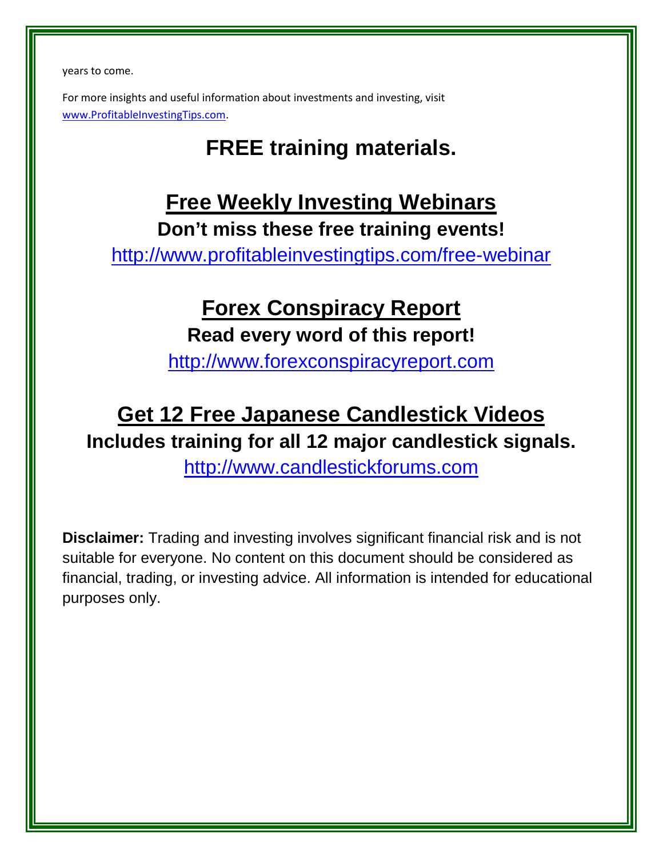years to come.

For more insights and useful information about investments and investing, visit [www.ProfitableInvestingTips.com.](http://www.profitableinvestingtips.com/)

### **FREE training materials.**

### **Free Weekly Investing Webinars Don't miss these free training events!**

<http://www.profitableinvestingtips.com/free-webinar>

### **Forex Conspiracy Report Read every word of this report!**

[http://www.forexconspiracyreport.com](http://www.forexconspiracyreport.com/)

## **Get 12 Free Japanese Candlestick Videos Includes training for all 12 major candlestick signals.**

[http://www.candlestickforums.com](http://www.candlestickforums.com/)

**Disclaimer:** Trading and investing involves significant financial risk and is not suitable for everyone. No content on this document should be considered as financial, trading, or investing advice. All information is intended for educational purposes only.